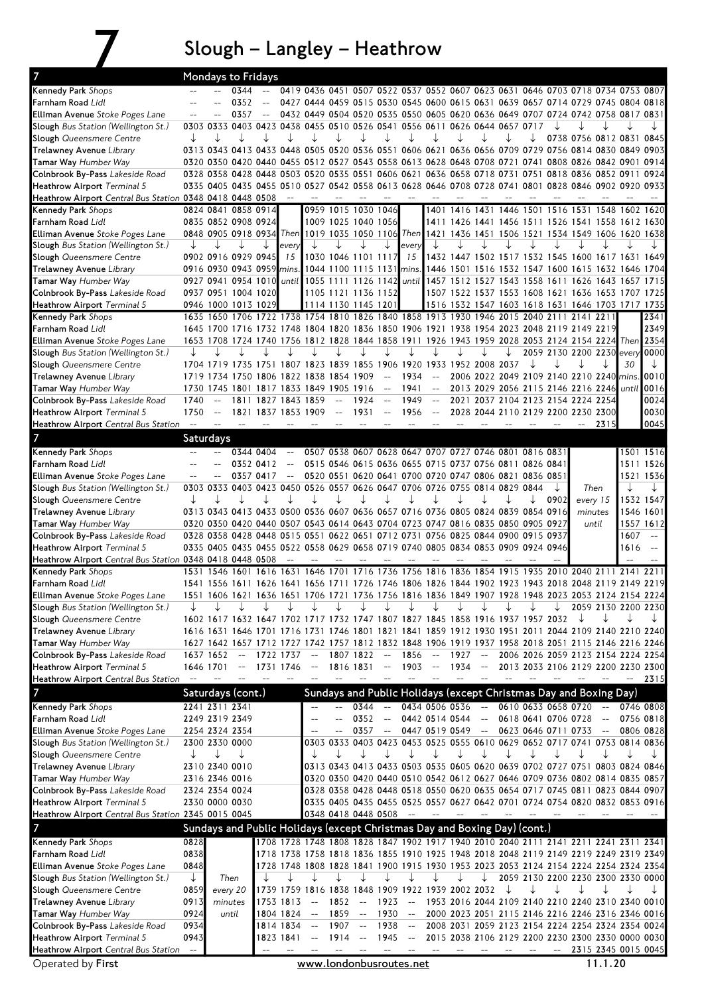## $7$  Slough – Langley – Heathrow

| $\overline{7}$                                                         |                                                |                          | Mondays to Fridays                                                                                                                                                                                         |                                                     |                                                     |                     |                                                     |                     |                                                     |                                                        |                                                     |      |                                                     |   |                          |                                                                                                                            |              |                     |                                                     |
|------------------------------------------------------------------------|------------------------------------------------|--------------------------|------------------------------------------------------------------------------------------------------------------------------------------------------------------------------------------------------------|-----------------------------------------------------|-----------------------------------------------------|---------------------|-----------------------------------------------------|---------------------|-----------------------------------------------------|--------------------------------------------------------|-----------------------------------------------------|------|-----------------------------------------------------|---|--------------------------|----------------------------------------------------------------------------------------------------------------------------|--------------|---------------------|-----------------------------------------------------|
| Kennedy Park Shops                                                     |                                                |                          | 0344                                                                                                                                                                                                       |                                                     |                                                     |                     |                                                     |                     |                                                     |                                                        |                                                     |      |                                                     |   |                          | 0419 0436 0451 0507 0522 0537 0552 0607 0623 0631 0646 0703 0718 0734 0753 0807                                            |              |                     |                                                     |
| Farnham Road Lidl                                                      |                                                |                          | 0352                                                                                                                                                                                                       |                                                     |                                                     |                     |                                                     |                     |                                                     |                                                        |                                                     |      |                                                     |   |                          | 0427 0444 0459 0515 0530 0545 0600 0615 0631 0639 0657 0714 0729 0745 0804 0818                                            |              |                     |                                                     |
| Elliman Avenue Stoke Poges Lane                                        | $\overline{a}$                                 |                          | 0357                                                                                                                                                                                                       | $\hspace{0.05cm} -\hspace{0.05cm} -\hspace{0.05cm}$ |                                                     |                     |                                                     |                     |                                                     |                                                        |                                                     |      |                                                     |   |                          | 0432 0449 0504 0520 0535 0550 0605 0620 0636 0649 0707 0724 0742 0758 0817 0831                                            |              |                     |                                                     |
| Slough Bus Station (Wellington St.)                                    |                                                |                          | 0303 0333 0403 0423 0438 0455 0510 0526 0541 0556 0611 0626 0644 0657 0717                                                                                                                                 |                                                     |                                                     |                     |                                                     |                     |                                                     |                                                        |                                                     |      |                                                     |   |                          |                                                                                                                            |              |                     |                                                     |
| Slough Queensmere Centre                                               | ↓                                              |                          |                                                                                                                                                                                                            |                                                     |                                                     |                     |                                                     |                     |                                                     |                                                        |                                                     |      |                                                     |   |                          | 0738 0756 0812 0831 0845                                                                                                   |              |                     |                                                     |
| Trelawney Avenue Library                                               |                                                |                          | 0313 0343 0413 0433 0448 0505 0520 0536 0551 0606 0621 0636 0656 0709 0729 0756 0814 0830 0849 0903                                                                                                        |                                                     |                                                     |                     |                                                     |                     |                                                     |                                                        |                                                     |      |                                                     |   |                          |                                                                                                                            |              |                     |                                                     |
| <b>Tamar Way Humber Way</b>                                            |                                                |                          | 0320 0350 0420 0440 0455 0512 0527 0543 0558 0613 0628 0648 0708 0721 0741 0808 0826 0842 0901 0914                                                                                                        |                                                     |                                                     |                     |                                                     |                     |                                                     |                                                        |                                                     |      |                                                     |   |                          |                                                                                                                            |              |                     |                                                     |
| Colnbrook By-Pass Lakeside Road<br>Heathrow Airport Terminal 5         |                                                |                          | 0328 0358 0428 0448 0503 0520 0535 0551 0606 0621 0636 0658 0718 0731 0751 0818 0836 0852 0911 0924<br>0335 0405 0435 0455 0510 0527 0542 0558 0613 0628 0646 0708 0728 0741 0801 0828 0846 0902 0920 0933 |                                                     |                                                     |                     |                                                     |                     |                                                     |                                                        |                                                     |      |                                                     |   |                          |                                                                                                                            |              |                     |                                                     |
| Heathrow Airport Central Bus Station 0348 0418 0448 0508               |                                                |                          |                                                                                                                                                                                                            |                                                     | $\sim$                                              |                     |                                                     |                     |                                                     |                                                        |                                                     |      |                                                     |   |                          |                                                                                                                            |              |                     |                                                     |
| Kennedy Park Shops                                                     |                                                |                          | 0824 0841 0858 0914                                                                                                                                                                                        |                                                     |                                                     |                     |                                                     | 0959 1015 1030 1046 |                                                     |                                                        |                                                     |      |                                                     |   |                          | 1401 1416 1431 1446 1501 1516 1531 1548 1602 1620                                                                          |              |                     |                                                     |
| <b>Farnham Road</b> Lidl                                               |                                                |                          | 0835 0852 0908 0924                                                                                                                                                                                        |                                                     |                                                     |                     |                                                     | 1009 1025 1040 1056 |                                                     |                                                        |                                                     |      |                                                     |   |                          | 1411 1426 1441 1456 1511 1526 1541 1558 1612 1630                                                                          |              |                     |                                                     |
| Elliman Avenue Stoke Poges Lane                                        |                                                |                          | 0848 0905 0918 0934 Then 1019 1035 1050 1106 Then                                                                                                                                                          |                                                     |                                                     |                     |                                                     |                     |                                                     |                                                        |                                                     |      |                                                     |   |                          | 1421 1436 1451 1506 1521 1534 1549 1606 1620 1638                                                                          |              |                     |                                                     |
| Slough Bus Station (Wellington St.)                                    | ↓                                              |                          |                                                                                                                                                                                                            |                                                     | every                                               |                     |                                                     |                     |                                                     | every                                                  |                                                     |      |                                                     |   |                          |                                                                                                                            |              |                     |                                                     |
| Slough Queensmere Centre                                               |                                                |                          | 0902 0916 0929 0945                                                                                                                                                                                        |                                                     | 15                                                  |                     |                                                     | 1030 1046 1101 1117 |                                                     | 15                                                     |                                                     |      |                                                     |   |                          | 1432 1447 1502 1517 1532 1545 1600 1617 1631 1649                                                                          |              |                     |                                                     |
| Trelawney Avenue Library                                               |                                                |                          | 0916 0930 0943 0959 mins.                                                                                                                                                                                  |                                                     |                                                     |                     |                                                     |                     |                                                     | 1044 1100 1115 1131 mins.                              |                                                     |      |                                                     |   |                          | 1446 1501 1516 1532 1547 1600 1615 1632 1646 1704                                                                          |              |                     |                                                     |
| Tamar Way Humber Way                                                   |                                                |                          | 0927 0941 0954 1010                                                                                                                                                                                        |                                                     |                                                     |                     |                                                     |                     |                                                     | until    1055 1111 1126 1142    until                  |                                                     |      |                                                     |   |                          | 1457 1512 1527 1543 1558 1611 1626 1643 1657 1715                                                                          |              |                     |                                                     |
| Colnbrook By-Pass Lakeside Road                                        |                                                |                          | 0937 0951 1004 1020                                                                                                                                                                                        |                                                     |                                                     |                     |                                                     | 1105 1121 1136 1152 |                                                     |                                                        |                                                     |      |                                                     |   |                          | 1507 1522 1537 1553 1608 1621 1636 1653 1707 1725                                                                          |              |                     |                                                     |
| Heathrow Airport Terminal 5                                            |                                                |                          | 0946 1000 1013 1029                                                                                                                                                                                        |                                                     |                                                     |                     |                                                     | 1114 1130 1145 1201 |                                                     |                                                        |                                                     |      |                                                     |   |                          | 1516 1532 1547 1603 1618 1631 1646 1703 1717 1735                                                                          |              |                     |                                                     |
| Kennedy Park Shops                                                     |                                                |                          | 1635 1650 1706 1722 1738 1754 1810 1826 1840 1858 1913 1930 1946 2015 2040 2111 2141 2211                                                                                                                  |                                                     |                                                     |                     |                                                     |                     |                                                     |                                                        |                                                     |      |                                                     |   |                          |                                                                                                                            |              |                     | 2341                                                |
| Farnham Road Lidl                                                      |                                                |                          | 1645 1700 1716 1732 1748 1804 1820 1836 1850 1906 1921 1938 1954 2023 2048 2119 2149 2219                                                                                                                  |                                                     |                                                     |                     |                                                     |                     |                                                     |                                                        |                                                     |      |                                                     |   |                          |                                                                                                                            |              |                     | 2349                                                |
| Elliman Avenue Stoke Poges Lane                                        |                                                |                          | 1653 1708 1724 1740 1756 1812 1828 1844 1858 1911 1926 1943 1959 2028 2053 2124 2154 2224 Then 2354                                                                                                        |                                                     |                                                     |                     |                                                     | ↓                   |                                                     |                                                        |                                                     |      |                                                     |   |                          | 2059 2130 2200 2230 every 0000                                                                                             |              |                     |                                                     |
| Slough Bus Station (Wellington St.)<br>Slough Queensmere Centre        |                                                |                          | 1704 1719 1735 1751 1807 1823 1839 1855 1906 1920 1933 1952 2008 2037                                                                                                                                      |                                                     |                                                     |                     |                                                     |                     |                                                     |                                                        |                                                     |      |                                                     |   |                          |                                                                                                                            |              | 30                  |                                                     |
| Trelawney Avenue Library                                               |                                                |                          | 1719 1734 1750 1806 1822 1838 1854 1909                                                                                                                                                                    |                                                     |                                                     |                     |                                                     |                     |                                                     | 1934                                                   | $\overline{\phantom{m}}$                            |      |                                                     |   |                          | 2006 2022 2049 2109 2140 2210 2240 mins                                                                                    |              |                     | 0010                                                |
| Tamar Way Humber Way                                                   |                                                |                          | 1730 1745 1801 1817 1833 1849 1905 1916                                                                                                                                                                    |                                                     |                                                     |                     |                                                     |                     | $\hspace{0.05cm} -\hspace{0.05cm} -\hspace{0.05cm}$ | 1941                                                   | $\hspace{0.05cm} -\hspace{0.05cm} -\hspace{0.05cm}$ |      |                                                     |   |                          | 2013 2029 2056 2115 2146 2216 2246 until                                                                                   |              |                     | 0016                                                |
| Colnbrook By-Pass Lakeside Road                                        | 1740                                           | $\overline{\phantom{a}}$ |                                                                                                                                                                                                            | 1811 1827 1843 1859                                 |                                                     |                     | $\hspace{0.05cm} -\hspace{0.05cm} -\hspace{0.05cm}$ | 1924                | $\overline{\phantom{a}}$                            | 1949                                                   | $\mathord{\hspace{1pt}\text{--}\hspace{1pt}}$       |      |                                                     |   |                          | 2021 2037 2104 2123 2154 2224 2254                                                                                         |              |                     | 0024                                                |
| Heathrow Airport Terminal 5                                            | 1750                                           | $\overline{\phantom{a}}$ |                                                                                                                                                                                                            |                                                     |                                                     | 1821 1837 1853 1909 | $\sim$ $ -$                                         | 1931                | $\sim$                                              | 1956                                                   | $\sim$ $\sim$                                       |      |                                                     |   |                          | 2028 2044 2110 2129 2200 2230 2300                                                                                         |              |                     | 0030                                                |
| Heathrow Airport Central Bus Station                                   |                                                |                          |                                                                                                                                                                                                            |                                                     |                                                     |                     |                                                     |                     |                                                     |                                                        |                                                     |      |                                                     |   |                          |                                                                                                                            | 2315         |                     | 0045                                                |
| 7                                                                      |                                                | Saturdays                |                                                                                                                                                                                                            |                                                     |                                                     |                     |                                                     |                     |                                                     |                                                        |                                                     |      |                                                     |   |                          |                                                                                                                            |              |                     |                                                     |
| Kennedy Park Shops                                                     |                                                |                          |                                                                                                                                                                                                            | 0344 0404                                           | $\overline{\phantom{a}}$                            |                     |                                                     |                     |                                                     | 0507 0538 0607 0628 0647 0707 0727 0746 0801 0816 0831 |                                                     |      |                                                     |   |                          |                                                                                                                            |              | 1501 1516           |                                                     |
| Farnham Road Lidl                                                      | $-$                                            |                          |                                                                                                                                                                                                            | 0352 0412                                           | $\hspace{0.05cm} -\hspace{0.05cm} -\hspace{0.05cm}$ |                     |                                                     |                     |                                                     | 0515 0546 0615 0636 0655 0715 0737 0756 0811 0826 0841 |                                                     |      |                                                     |   |                          |                                                                                                                            |              | 1511 1526           |                                                     |
| <b>Elliman Avenue</b> Stoke Poges Lane                                 | $-\!$ $\!-$                                    |                          |                                                                                                                                                                                                            | 0357 0417                                           | $\overline{\phantom{m}}$                            |                     |                                                     |                     |                                                     | 0520 0551 0620 0641 0700 0720 0747 0806 0821 0836 0851 |                                                     |      |                                                     |   |                          |                                                                                                                            |              | 1521 1536           |                                                     |
| Slough Bus Station (Wellington St.)                                    |                                                |                          | 0303 0333 0403 0423 0450 0526 0557 0626 0647 0706 0726 0755 0814 0829 0844                                                                                                                                 |                                                     |                                                     |                     |                                                     |                     |                                                     |                                                        |                                                     |      |                                                     |   |                          | Then                                                                                                                       |              |                     | ↓                                                   |
| Slough Queensmere Centre                                               | ↓                                              |                          |                                                                                                                                                                                                            |                                                     |                                                     |                     |                                                     | ↓                   |                                                     |                                                        |                                                     |      |                                                     | ↓ | 0902                     | every 15                                                                                                                   |              | 1532 1547           |                                                     |
| Trelawney Avenue Library                                               |                                                |                          | 0313 0343 0413 0433 0500 0536 0607 0636 0657 0716 0736 0805 0824 0839 0854 0916                                                                                                                            |                                                     |                                                     |                     |                                                     |                     |                                                     |                                                        |                                                     |      |                                                     |   |                          | minutes                                                                                                                    |              | 1546 1601           |                                                     |
| Tamar Way Humber Way                                                   |                                                |                          | 0320 0350 0420 0440 0507 0543 0614 0643 0704 0723 0747 0816 0835 0850 0905 0927                                                                                                                            |                                                     |                                                     |                     |                                                     |                     |                                                     |                                                        |                                                     |      |                                                     |   |                          | until                                                                                                                      |              | 1557 1612           |                                                     |
| Colnbrook By-Pass Lakeside Road                                        |                                                |                          | 0328 0358 0428 0448 0515 0551 0622 0651 0712 0731 0756 0825 0844 0900 0915 0937                                                                                                                            |                                                     |                                                     |                     |                                                     |                     |                                                     |                                                        |                                                     |      |                                                     |   |                          |                                                                                                                            |              | 1607                | $\sim$                                              |
| Heathrow Airport Terminal 5                                            |                                                |                          | 0335 0405 0435 0455 0522 0558 0629 0658 0719 0740 0805 0834 0853 0909 0924 0946                                                                                                                            |                                                     |                                                     |                     |                                                     |                     |                                                     |                                                        |                                                     |      |                                                     |   |                          |                                                                                                                            |              | 1616                | $\hspace{0.05cm} -\hspace{0.05cm} -\hspace{0.05cm}$ |
| Heathrow Airport Central Bus Station 0348 0418 0448 0508               |                                                |                          | 1531 1546 1601 1616 1631 1646 1701 1716 1736 1756 1816 1836 1854 1915 1935 2010 2040 2111 2141                                                                                                             |                                                     |                                                     |                     |                                                     |                     |                                                     |                                                        |                                                     |      |                                                     |   |                          |                                                                                                                            |              |                     | 2211                                                |
| Kennedy Park Shops<br>Farnham Road Lidl                                |                                                |                          | 1541 1556 1611 1626 1641 1656 1711 1726 1746 1806 1826 1844 1902 1923 1943 2018 2048 2119 2149 2219                                                                                                        |                                                     |                                                     |                     |                                                     |                     |                                                     |                                                        |                                                     |      |                                                     |   |                          |                                                                                                                            |              |                     |                                                     |
| Elliman Avenue Stoke Poges Lane                                        |                                                |                          | 1551 1606 1621 1636 1651 1706 1721 1736 1756 1816 1836 1849 1907 1928 1948 2023 2053 2124 2154 2224                                                                                                        |                                                     |                                                     |                     |                                                     |                     |                                                     |                                                        |                                                     |      |                                                     |   |                          |                                                                                                                            |              |                     |                                                     |
| Slough Bus Station (Wellington St.)                                    |                                                |                          |                                                                                                                                                                                                            |                                                     |                                                     |                     |                                                     |                     |                                                     |                                                        |                                                     |      |                                                     |   |                          |                                                                                                                            |              | 2059 2130 2200 2230 |                                                     |
| Slough Queensmere Centre                                               |                                                |                          | 1602 1617 1632 1647 1702 1717                                                                                                                                                                              |                                                     |                                                     |                     |                                                     |                     |                                                     | 1732 1747 1807 1827 1845 1858 1916 1937 1957 2032      |                                                     |      |                                                     |   |                          |                                                                                                                            |              |                     | ↓                                                   |
| Trelawney Avenue Library                                               |                                                |                          | 1616 1631 1646 1701 1716 1731 1746 1801 1821 1841 1859 1912 1930 1951 2011 2044 2109 2140 2210 2240                                                                                                        |                                                     |                                                     |                     |                                                     |                     |                                                     |                                                        |                                                     |      |                                                     |   |                          |                                                                                                                            |              |                     |                                                     |
| Tamar Way Humber Way                                                   |                                                |                          | 1627 1642 1657 1712 1727 1742 1757 1812 1832 1848 1906 1919 1937 1958 2018 2051 2115 2146 2216 2246                                                                                                        |                                                     |                                                     |                     |                                                     |                     |                                                     |                                                        |                                                     |      |                                                     |   |                          |                                                                                                                            |              |                     |                                                     |
| Colnbrook By-Pass Lakeside Road                                        |                                                | 1637 1652                | $-\!$                                                                                                                                                                                                      |                                                     | 1722 1737                                           | $\qquad \qquad -$   |                                                     | 1807 1822           | $-\!$                                               | 1856                                                   | $\overline{\phantom{a}}$                            | 1927 | $\hspace{0.05cm} -$                                 |   |                          | 2006 2026 2059 2123 2154 2224 2254                                                                                         |              |                     |                                                     |
| Heathrow Airport Terminal 5                                            |                                                | 1646 1701                | $- \, -$                                                                                                                                                                                                   |                                                     | 1731 1746                                           |                     |                                                     | 1816 1831           |                                                     | 1903                                                   |                                                     | 1934 |                                                     |   |                          | 2013 2033 2106 2129 2200 2230 2300                                                                                         |              |                     |                                                     |
| Heathrow Airport Central Bus Station                                   |                                                |                          |                                                                                                                                                                                                            |                                                     |                                                     |                     |                                                     |                     |                                                     |                                                        |                                                     |      |                                                     |   |                          |                                                                                                                            |              |                     | 2315                                                |
| 7                                                                      |                                                |                          | Saturdays (cont.)                                                                                                                                                                                          |                                                     |                                                     |                     |                                                     |                     |                                                     |                                                        |                                                     |      |                                                     |   |                          | Sundays and Public Holidays (except Christmas Day and Boxing Day)                                                          |              |                     |                                                     |
| Kennedy Park Shops                                                     |                                                | 2241 2311 2341           |                                                                                                                                                                                                            |                                                     |                                                     |                     |                                                     | 0344                | $\sim$                                              |                                                        | 0434 0506 0536                                      |      | $\hspace{0.1mm}-\hspace{0.1mm}-\hspace{0.1mm}$      |   | $0610063306580720 -$     |                                                                                                                            |              | 0746 0808           |                                                     |
| Farnham Road Lidl                                                      |                                                |                          |                                                                                                                                                                                                            |                                                     |                                                     |                     |                                                     |                     |                                                     |                                                        |                                                     |      |                                                     |   |                          |                                                                                                                            |              |                     |                                                     |
|                                                                        |                                                | 2249 2319 2349           |                                                                                                                                                                                                            |                                                     |                                                     |                     |                                                     | 0352                | $\mathbf{u}$                                        |                                                        | 0442 0514 0544                                      |      | $\hspace{0.05cm} -\hspace{0.05cm} -\hspace{0.05cm}$ |   | 0618 0641 0706 0728      |                                                                                                                            | $\mathbf{u}$ | 0756 0818           |                                                     |
| Elliman Avenue Stoke Poges Lane                                        |                                                |                          | 2254 2324 2354                                                                                                                                                                                             |                                                     |                                                     |                     |                                                     | 0357                |                                                     |                                                        | 0447 0519 0549                                      |      | $\hspace{0.05cm} -\hspace{0.05cm} -\hspace{0.05cm}$ |   | 0623 0646 0711 0733      |                                                                                                                            |              | 0806 0828           |                                                     |
| Slough Bus Station (Wellington St.)                                    |                                                |                          | 2300 2330 0000                                                                                                                                                                                             |                                                     |                                                     |                     | 0303 0333                                           |                     |                                                     |                                                        |                                                     |      |                                                     |   |                          | 0403 0423 0453 0525 0555 0610 0629 0652 0717 0741 0753 0814 0836                                                           |              |                     |                                                     |
| Slough Queensmere Centre                                               | ↓                                              | ↓                        | ↓                                                                                                                                                                                                          |                                                     |                                                     |                     |                                                     |                     |                                                     |                                                        |                                                     |      |                                                     |   |                          |                                                                                                                            |              | ↓                   |                                                     |
| Trelawney Avenue Library                                               |                                                |                          | 2310 2340 0010                                                                                                                                                                                             |                                                     |                                                     |                     |                                                     |                     |                                                     |                                                        |                                                     |      |                                                     |   |                          | 0313 0343 0413 0433 0503 0535 0605 0620 0639 0702 0727 0751 0803 0824 0846                                                 |              |                     |                                                     |
| Tamar Way Humber Way                                                   |                                                |                          | 2316 2346 0016                                                                                                                                                                                             |                                                     |                                                     |                     |                                                     |                     |                                                     |                                                        |                                                     |      |                                                     |   |                          | 0320 0350 0420 0440 0510 0542 0612 0627 0646 0709 0736 0802 0814 0835 0857                                                 |              |                     |                                                     |
| Colnbrook By-Pass Lakeside Road                                        |                                                |                          | 2324 2354 0024                                                                                                                                                                                             |                                                     |                                                     |                     |                                                     |                     |                                                     |                                                        |                                                     |      |                                                     |   |                          | 0328 0358 0428 0448 0518 0550 0620 0635 0654 0717 0745 0811 0823 0844 0907                                                 |              |                     |                                                     |
| Heathrow Airport Terminal 5                                            |                                                |                          | 2330 0000 0030                                                                                                                                                                                             |                                                     |                                                     |                     |                                                     | 0348 0418 0448 0508 |                                                     |                                                        |                                                     |      |                                                     |   |                          | 0335 0405 0435 0455 0525 0557 0627 0642 0701 0724 0754 0820 0832 0853 0916                                                 |              |                     |                                                     |
| Heathrow Airport Central Bus Station 2345 0015 0045                    |                                                |                          |                                                                                                                                                                                                            |                                                     |                                                     |                     |                                                     |                     |                                                     |                                                        |                                                     |      |                                                     |   |                          |                                                                                                                            |              |                     |                                                     |
| 7                                                                      |                                                |                          | Sundays and Public Holidays (except Christmas Day and Boxing Day) (cont.)                                                                                                                                  |                                                     |                                                     |                     |                                                     |                     |                                                     |                                                        |                                                     |      |                                                     |   |                          |                                                                                                                            |              |                     |                                                     |
| Kennedy Park Shops                                                     | 0828                                           |                          |                                                                                                                                                                                                            |                                                     |                                                     |                     |                                                     |                     |                                                     |                                                        |                                                     |      |                                                     |   |                          | 1708 1728 1748 1808 1828 1847 1902 1917 1940 2010 2040 2111 2141 2211 2241 2311 2341                                       |              |                     |                                                     |
| Farnham Road Lidl                                                      | 0838                                           |                          |                                                                                                                                                                                                            |                                                     |                                                     |                     |                                                     |                     |                                                     |                                                        |                                                     |      |                                                     |   |                          | 1718 1738 1758 1818 1836 1855 1910 1925 1948 2018 2048 2119 2149 2219 2249 2319 2349                                       |              |                     |                                                     |
| Elliman Avenue Stoke Poges Lane<br>Slough Bus Station (Wellington St.) | 0848<br>↓                                      |                          | Then                                                                                                                                                                                                       |                                                     |                                                     |                     |                                                     |                     |                                                     |                                                        |                                                     |      |                                                     |   |                          | 1728 1748 1808 1828 1841 1900 1915 1930 1953 2023 2053 2124 2154 2224 2254 2324 2354<br>2059 2130 2200 2230 2300 2330 0000 |              |                     |                                                     |
| Slough Queensmere Centre                                               | 0859                                           |                          | every 20                                                                                                                                                                                                   |                                                     |                                                     |                     |                                                     |                     |                                                     | 1739 1759 1816 1838 1848 1909 1922 1939 2002 2032      |                                                     |      |                                                     |   |                          |                                                                                                                            |              |                     |                                                     |
| Trelawney Avenue Library                                               | 0913                                           |                          | minutes                                                                                                                                                                                                    |                                                     | 1753 1813                                           |                     | 1852                                                | $\overline{a}$      | 1923                                                | $\sim$                                                 |                                                     |      |                                                     |   |                          | 1953 2016 2044 2109 2140 2210 2240 2310 2340 0010                                                                          |              |                     |                                                     |
| <b>Tamar Way Humber Way</b>                                            | 0924                                           |                          | until                                                                                                                                                                                                      |                                                     | 1804 1824                                           | $-$                 | 1859                                                | $\sim$              | 1930                                                | $\sim$ $ -$                                            |                                                     |      |                                                     |   |                          | 2000 2023 2051 2115 2146 2216 2246 2316 2346 0016                                                                          |              |                     |                                                     |
| Colnbrook By-Pass Lakeside Road                                        | 0934                                           |                          |                                                                                                                                                                                                            |                                                     | 1814 1834                                           | $-$                 | 1907                                                |                     | 1938                                                | $\sim$                                                 |                                                     |      |                                                     |   |                          | 2008 2031 2059 2123 2154 2224 2254 2324 2354 0024                                                                          |              |                     |                                                     |
| Heathrow Airport Terminal 5                                            | 0943                                           |                          |                                                                                                                                                                                                            |                                                     | 1823 1841                                           |                     | 1914                                                | $\overline{a}$      | 1945                                                |                                                        |                                                     |      |                                                     |   |                          | 2015 2038 2106 2129 2200 2230 2300 2330 0000 0030                                                                          |              |                     |                                                     |
| Heathrow Airport Central Bus Station<br>Operated by First              | $\hspace{0.1mm}-\hspace{0.1mm}-\hspace{0.1mm}$ |                          |                                                                                                                                                                                                            |                                                     |                                                     |                     |                                                     |                     |                                                     | www.londonbusroutes.net                                |                                                     |      |                                                     |   | $\overline{\phantom{a}}$ | 2315 2345 0015 0045                                                                                                        | 11.1.20      |                     |                                                     |